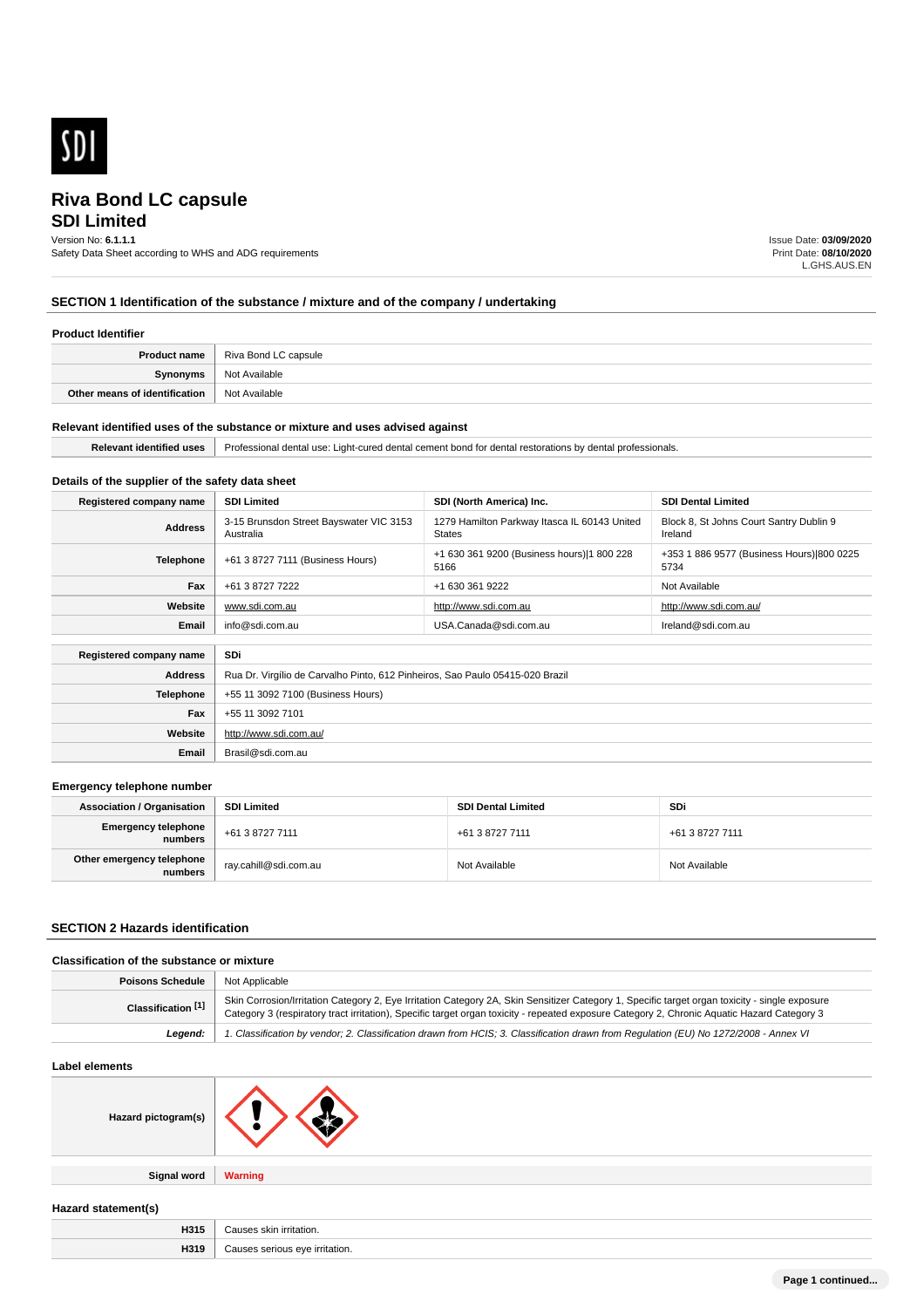

## **SDI Limited**

Version No: **6.1.1.1** Safety Data Sheet according to WHS and ADG requirements Issue Date: **03/09/2020** Print Date: **08/10/2020** L.GHS.AUS.EN

### **SECTION 1 Identification of the substance / mixture and of the company / undertaking**

#### **Product Identifier**

| <b>Product name</b>           | Riva Bond LC capsule |
|-------------------------------|----------------------|
| Svnonvms                      | Not Available        |
| Other means of identification | Not Available        |

#### **Relevant identified uses of the substance or mixture and uses advised against**

| . . | 'r∩.<br><b>USA</b><br>cement<br>ured dental.<br><br>. nona tr<br>denta<br>165101411011 |
|-----|----------------------------------------------------------------------------------------|
|     |                                                                                        |

### **Details of the supplier of the safety data sheet**

| Registered company name | <b>SDI Limited</b>                                                            | SDI (North America) Inc.                                      | <b>SDI Dental Limited</b>                          |
|-------------------------|-------------------------------------------------------------------------------|---------------------------------------------------------------|----------------------------------------------------|
| <b>Address</b>          | 3-15 Brunsdon Street Bayswater VIC 3153<br>Australia                          | 1279 Hamilton Parkway Itasca IL 60143 United<br><b>States</b> | Block 8, St Johns Court Santry Dublin 9<br>Ireland |
| <b>Telephone</b>        | +61 3 8727 7111 (Business Hours)                                              | +1 630 361 9200 (Business hours) 1 800 228<br>5166            | +353 1 886 9577 (Business Hours) 800 0225<br>5734  |
| Fax                     | +61 3 8727 7222                                                               | +1 630 361 9222                                               | Not Available                                      |
| Website                 | www.sdi.com.au                                                                | http://www.sdi.com.au                                         | http://www.sdi.com.au/                             |
| Email                   | info@sdi.com.au                                                               | USA.Canada@sdi.com.au                                         | Ireland@sdi.com.au                                 |
|                         |                                                                               |                                                               |                                                    |
| Registered company name | <b>SDi</b>                                                                    |                                                               |                                                    |
| <b>Address</b>          | Rua Dr. Virgílio de Carvalho Pinto, 612 Pinheiros, Sao Paulo 05415-020 Brazil |                                                               |                                                    |
| <b>Telephone</b>        | +55 11 3092 7100 (Business Hours)                                             |                                                               |                                                    |
| Fax                     | +55 11 3092 7101                                                              |                                                               |                                                    |
| Website                 | http://www.sdi.com.au/                                                        |                                                               |                                                    |
| Email                   | Brasil@sdi.com.au                                                             |                                                               |                                                    |

#### **Emergency telephone number**

| <b>Association / Organisation</b>    | <b>SDI Limited</b>    | <b>SDI Dental Limited</b> | SDi             |
|--------------------------------------|-----------------------|---------------------------|-----------------|
| Emergency telephone<br>numbers       | +61 3 8727 7111       | +61 3 8727 7111           | +61 3 8727 7111 |
| Other emergency telephone<br>numbers | ray.cahill@sdi.com.au | Not Available             | Not Available   |

#### **SECTION 2 Hazards identification**

### **Classification of the substance or mixture**

| <b>Poisons Schedule</b> | Not Applicable                                                                                                                                                                                                                                                                                |
|-------------------------|-----------------------------------------------------------------------------------------------------------------------------------------------------------------------------------------------------------------------------------------------------------------------------------------------|
| Classification [1]      | Skin Corrosion/Irritation Category 2, Eye Irritation Category 2A, Skin Sensitizer Category 1, Specific target organ toxicity - single exposure<br>Category 3 (respiratory tract irritation), Specific target organ toxicity - repeated exposure Category 2, Chronic Aquatic Hazard Category 3 |
| Leaend:                 | 1. Classification by vendor; 2. Classification drawn from HCIS; 3. Classification drawn from Requlation (EU) No 1272/2008 - Annex VI                                                                                                                                                          |

#### **Label elements**

**Signal word Warning**

**Hazard statement(s)**

| <b>LIG44</b><br>. .<br>пэк<br>$\cdots$ |          |
|----------------------------------------|----------|
| H319                                   | rıtatınr |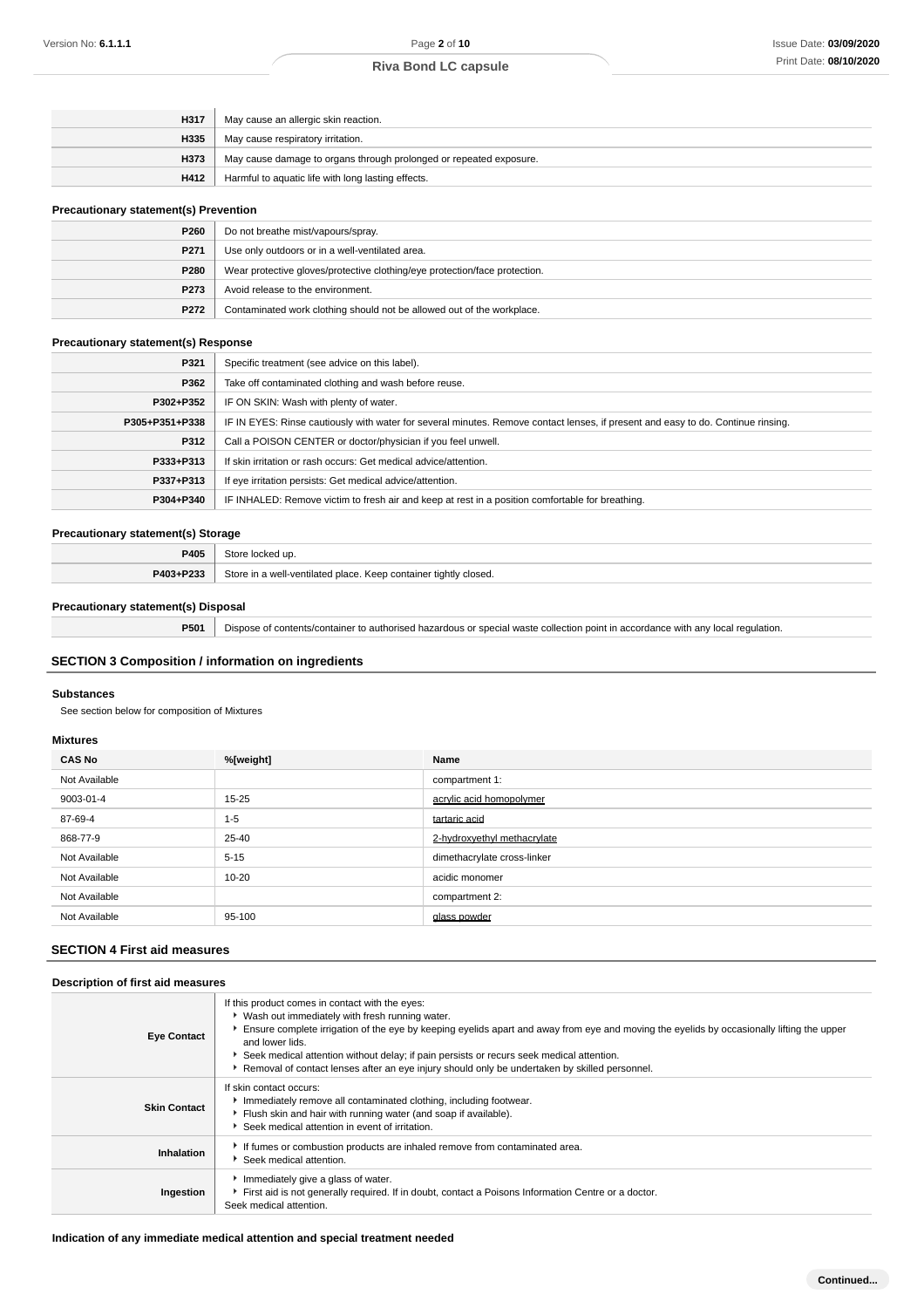| H317 | May cause an allergic skin reaction.                               |
|------|--------------------------------------------------------------------|
| H335 | May cause respiratory irritation.                                  |
| H373 | May cause damage to organs through prolonged or repeated exposure. |
| H412 | Harmful to aquatic life with long lasting effects.                 |

### **Precautionary statement(s) Prevention**

| P260             | Do not breathe mist/vapours/spray.                                         |
|------------------|----------------------------------------------------------------------------|
| P <sub>271</sub> | Use only outdoors or in a well-ventilated area.                            |
| P280             | Wear protective gloves/protective clothing/eye protection/face protection. |
| P273             | Avoid release to the environment.                                          |
| P272             | Contaminated work clothing should not be allowed out of the workplace.     |

#### **Precautionary statement(s) Response**

| P321           | Specific treatment (see advice on this label).                                                                                   |
|----------------|----------------------------------------------------------------------------------------------------------------------------------|
| P362           | Take off contaminated clothing and wash before reuse.                                                                            |
| P302+P352      | IF ON SKIN: Wash with plenty of water.                                                                                           |
| P305+P351+P338 | IF IN EYES: Rinse cautiously with water for several minutes. Remove contact lenses, if present and easy to do. Continue rinsing. |
| P312           | Call a POISON CENTER or doctor/physician if you feel unwell.                                                                     |
| P333+P313      | If skin irritation or rash occurs: Get medical advice/attention.                                                                 |
| P337+P313      | If eye irritation persists: Get medical advice/attention.                                                                        |
| P304+P340      | IF INHALED: Remove victim to fresh air and keep at rest in a position comfortable for breathing.                                 |

#### **Precautionary statement(s) Storage**

|             | . .<br>$\sim$                                                            |  |
|-------------|--------------------------------------------------------------------------|--|
| <b>P405</b> | ∹t∩r                                                                     |  |
| P403+P233   | Stor∈<br>Keep container tightly closed.<br>e in a well-ventilated place. |  |

### **Precautionary statement(s) Disposal**

**P501** Dispose of contents/container to authorised hazardous or special waste collection point in accordance with any local regulation.

### **SECTION 3 Composition / information on ingredients**

### **Substances**

See section below for composition of Mixtures

#### **Mixtures**

| <b>CAS No</b> | %[weight] | Name                        |
|---------------|-----------|-----------------------------|
| Not Available |           | compartment 1:              |
| 9003-01-4     | $15 - 25$ | acrylic acid homopolymer    |
| 87-69-4       | $1 - 5$   | tartaric acid               |
| 868-77-9      | 25-40     | 2-hydroxyethyl methacrylate |
| Not Available | $5 - 15$  | dimethacrylate cross-linker |
| Not Available | $10 - 20$ | acidic monomer              |
| Not Available |           | compartment 2:              |
| Not Available | 95-100    | glass powder                |

### **SECTION 4 First aid measures**

### **Description of first aid measures**

| <b>Eye Contact</b>  | If this product comes in contact with the eyes:<br>▶ Wash out immediately with fresh running water.<br>Ensure complete irrigation of the eye by keeping eyelids apart and away from eye and moving the eyelids by occasionally lifting the upper<br>and lower lids.<br>Seek medical attention without delay; if pain persists or recurs seek medical attention.<br>Removal of contact lenses after an eye injury should only be undertaken by skilled personnel. |
|---------------------|------------------------------------------------------------------------------------------------------------------------------------------------------------------------------------------------------------------------------------------------------------------------------------------------------------------------------------------------------------------------------------------------------------------------------------------------------------------|
| <b>Skin Contact</b> | If skin contact occurs:<br>Immediately remove all contaminated clothing, including footwear.<br>Filush skin and hair with running water (and soap if available).<br>Seek medical attention in event of irritation.                                                                                                                                                                                                                                               |
| Inhalation          | If fumes or combustion products are inhaled remove from contaminated area.<br>Seek medical attention.                                                                                                                                                                                                                                                                                                                                                            |
| Ingestion           | Immediately give a glass of water.<br>First aid is not generally required. If in doubt, contact a Poisons Information Centre or a doctor.<br>Seek medical attention.                                                                                                                                                                                                                                                                                             |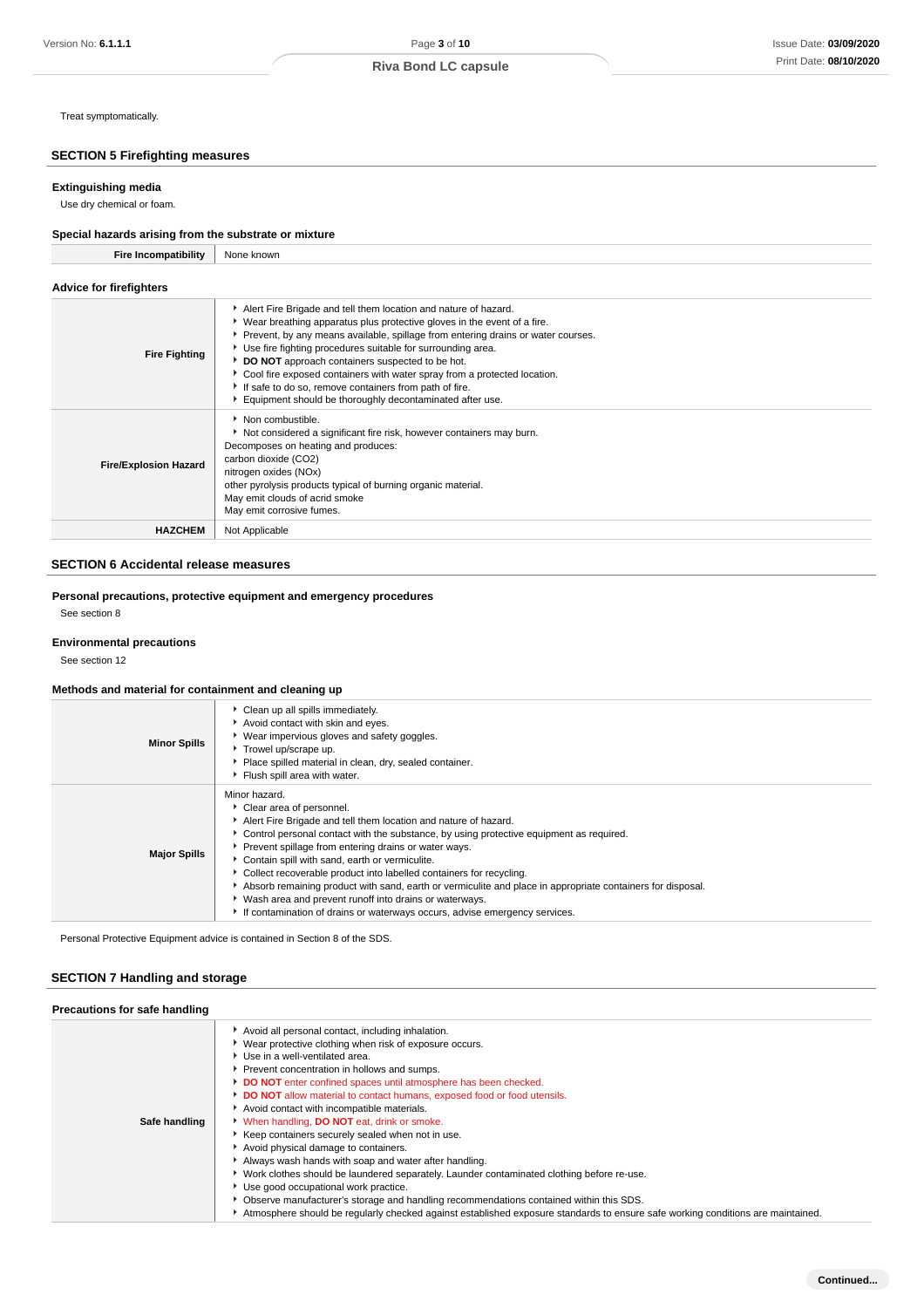### **SECTION 5 Firefighting measures**

#### **Extinguishing media**

Treat symptomatically.

Use dry chemical or foam.

### **Special hazards arising from the substrate or mixture**

| <b>Fire Incompatibility</b>    | None known                                                                                                                                                                                                                                                                                                                                                                                                                                                                                                                                             |
|--------------------------------|--------------------------------------------------------------------------------------------------------------------------------------------------------------------------------------------------------------------------------------------------------------------------------------------------------------------------------------------------------------------------------------------------------------------------------------------------------------------------------------------------------------------------------------------------------|
| <b>Advice for firefighters</b> |                                                                                                                                                                                                                                                                                                                                                                                                                                                                                                                                                        |
| <b>Fire Fighting</b>           | Alert Fire Brigade and tell them location and nature of hazard.<br>► Wear breathing apparatus plus protective gloves in the event of a fire.<br>Prevent, by any means available, spillage from entering drains or water courses.<br>Use fire fighting procedures suitable for surrounding area.<br>DO NOT approach containers suspected to be hot.<br>► Cool fire exposed containers with water spray from a protected location.<br>If safe to do so, remove containers from path of fire.<br>Equipment should be thoroughly decontaminated after use. |
| <b>Fire/Explosion Hazard</b>   | Non combustible.<br>Not considered a significant fire risk, however containers may burn.<br>Decomposes on heating and produces:<br>carbon dioxide (CO2)<br>nitrogen oxides (NOx)<br>other pyrolysis products typical of burning organic material.<br>May emit clouds of acrid smoke<br>May emit corrosive fumes.                                                                                                                                                                                                                                       |
| <b>HAZCHEM</b>                 | Not Applicable                                                                                                                                                                                                                                                                                                                                                                                                                                                                                                                                         |

### **SECTION 6 Accidental release measures**

**Personal precautions, protective equipment and emergency procedures** See section 8

#### **Environmental precautions**

See section 12

#### **Methods and material for containment and cleaning up**

| <b>Minor Spills</b> | Clean up all spills immediately.<br>Avoid contact with skin and eyes.<br>▶ Wear impervious gloves and safety goggles.<br>Trowel up/scrape up.<br>Place spilled material in clean, dry, sealed container.<br>Flush spill area with water.                                                                                                                                                                                                                                                                                                                                                                                                             |
|---------------------|------------------------------------------------------------------------------------------------------------------------------------------------------------------------------------------------------------------------------------------------------------------------------------------------------------------------------------------------------------------------------------------------------------------------------------------------------------------------------------------------------------------------------------------------------------------------------------------------------------------------------------------------------|
| <b>Major Spills</b> | Minor hazard.<br>Clear area of personnel.<br>Alert Fire Brigade and tell them location and nature of hazard.<br>• Control personal contact with the substance, by using protective equipment as required.<br>Prevent spillage from entering drains or water ways.<br>Contain spill with sand, earth or vermiculite.<br>• Collect recoverable product into labelled containers for recycling.<br>Absorb remaining product with sand, earth or vermiculite and place in appropriate containers for disposal.<br>• Wash area and prevent runoff into drains or waterways.<br>If contamination of drains or waterways occurs, advise emergency services. |

Personal Protective Equipment advice is contained in Section 8 of the SDS.

### **SECTION 7 Handling and storage**

| Precautions for safe handling |                                                                                                                                                                                                                                                                                                                                                                                                                                                                                                                                                                                                                                                                                                                                                                                                                                                                                                                                                                         |
|-------------------------------|-------------------------------------------------------------------------------------------------------------------------------------------------------------------------------------------------------------------------------------------------------------------------------------------------------------------------------------------------------------------------------------------------------------------------------------------------------------------------------------------------------------------------------------------------------------------------------------------------------------------------------------------------------------------------------------------------------------------------------------------------------------------------------------------------------------------------------------------------------------------------------------------------------------------------------------------------------------------------|
| Safe handling                 | Avoid all personal contact, including inhalation.<br>▶ Wear protective clothing when risk of exposure occurs.<br>Use in a well-ventilated area.<br>Prevent concentration in hollows and sumps.<br>DO NOT enter confined spaces until atmosphere has been checked.<br>DO NOT allow material to contact humans, exposed food or food utensils.<br>Avoid contact with incompatible materials.<br>V When handling, DO NOT eat, drink or smoke.<br>▶ Keep containers securely sealed when not in use.<br>Avoid physical damage to containers.<br>Always wash hands with soap and water after handling.<br>► Work clothes should be laundered separately. Launder contaminated clothing before re-use.<br>Use good occupational work practice.<br>• Observe manufacturer's storage and handling recommendations contained within this SDS.<br>Atmosphere should be regularly checked against established exposure standards to ensure safe working conditions are maintained. |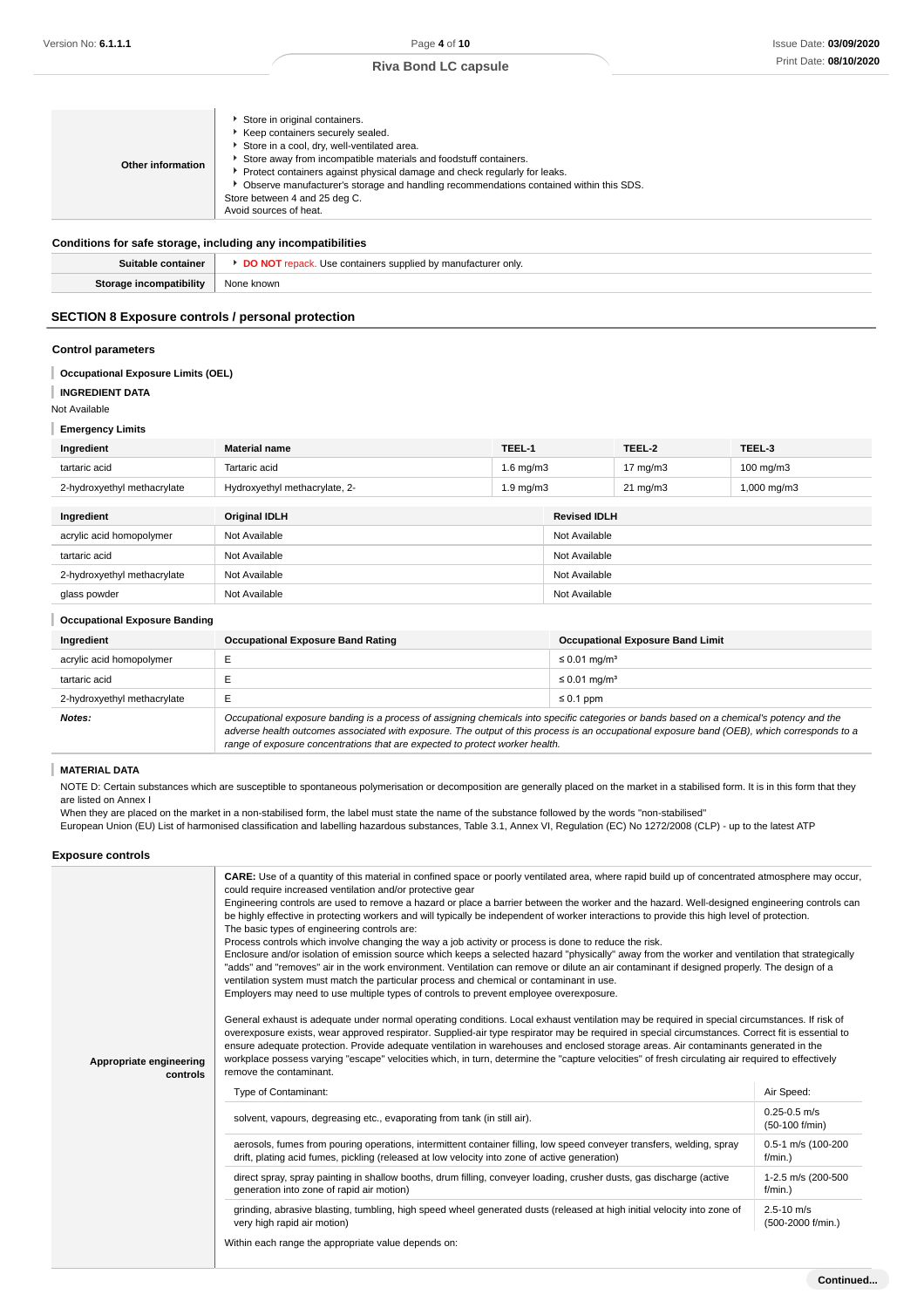|  | Other information | Store in original containers.<br>Keep containers securely sealed.<br>Store in a cool, dry, well-ventilated area.<br>Store away from incompatible materials and foodstuff containers.<br>Protect containers against physical damage and check regularly for leaks.<br>• Observe manufacturer's storage and handling recommendations contained within this SDS.<br>Store between 4 and 25 deg C.<br>Avoid sources of heat. |
|--|-------------------|--------------------------------------------------------------------------------------------------------------------------------------------------------------------------------------------------------------------------------------------------------------------------------------------------------------------------------------------------------------------------------------------------------------------------|
|--|-------------------|--------------------------------------------------------------------------------------------------------------------------------------------------------------------------------------------------------------------------------------------------------------------------------------------------------------------------------------------------------------------------------------------------------------------------|

#### **Conditions for safe storage, including any incompatibilities**

| oniv                |
|---------------------|
| <br>$\sim$<br>20111 |

### **SECTION 8 Exposure controls / personal protection**

#### **Control parameters**

#### **Occupational Exposure Limits (OEL)**

#### I **INGREDIENT DATA**

Not Available

#### **Emergency Limits**

| Ingredient                  | <b>Material name</b>          | TEEL-1             | TEEL-2              | TEEL-3                  |
|-----------------------------|-------------------------------|--------------------|---------------------|-------------------------|
| tartaric acid               | Tartaric acid                 | 1.6 ma/m3          | $7 \text{ ma/m}$ 3  | 100 mg/m3               |
| 2-hydroxyethyl methacrylate | Hydroxyethyl methacrylate, 2- | $1.9 \text{ mg/m}$ | $21 \text{ ma/m}$ 3 | $1,000 \,\mathrm{mg/m}$ |
|                             |                               |                    |                     |                         |

| Ingredient                  | <b>Original IDLH</b> | <b>Revised IDLH</b> |
|-----------------------------|----------------------|---------------------|
| acrylic acid homopolymer    | Not Available        | Not Available       |
| tartaric acid               | Not Available        | Not Available       |
| 2-hydroxyethyl methacrylate | Not Available        | Not Available       |
| glass powder                | Not Available        | Not Available       |

#### **Occupational Exposure Banding**

| Ingredient                  | <b>Occupational Exposure Band Rating</b>                                                                                                  | <b>Occupational Exposure Band Limit</b> |  |  |
|-----------------------------|-------------------------------------------------------------------------------------------------------------------------------------------|-----------------------------------------|--|--|
| acrylic acid homopolymer    |                                                                                                                                           | ≤ 0.01 mg/m <sup>3</sup>                |  |  |
| tartaric acid               |                                                                                                                                           | $\leq$ 0.01 mg/m <sup>3</sup>           |  |  |
| 2-hydroxyethyl methacrylate | $\leq 0.1$ ppm<br>┕                                                                                                                       |                                         |  |  |
| Notes:                      | Occupational exposure banding is a process of assigning chemicals into specific categories or bands based on a chemical's potency and the |                                         |  |  |

adverse health outcomes associated with exposure. The output of this process is an occupational exposure band (OEB), which corresponds to a range of exposure concentrations that are expected to protect worker health.

### **MATERIAL DATA**

NOTE D: Certain substances which are susceptible to spontaneous polymerisation or decomposition are generally placed on the market in a stabilised form. It is in this form that they are listed on Annex I

When they are placed on the market in a non-stabilised form, the label must state the name of the substance followed by the words "non-stabilised"

European Union (EU) List of harmonised classification and labelling hazardous substances, Table 3.1, Annex VI, Regulation (EC) No 1272/2008 (CLP) - up to the latest ATP

#### **Exposure controls**

| Appropriate engineering<br>controls | CARE: Use of a quantity of this material in confined space or poorly ventilated area, where rapid build up of concentrated atmosphere may occur,<br>could require increased ventilation and/or protective gear<br>Engineering controls are used to remove a hazard or place a barrier between the worker and the hazard. Well-designed engineering controls can<br>be highly effective in protecting workers and will typically be independent of worker interactions to provide this high level of protection.<br>The basic types of engineering controls are:<br>Process controls which involve changing the way a job activity or process is done to reduce the risk.<br>Enclosure and/or isolation of emission source which keeps a selected hazard "physically" away from the worker and ventilation that strategically<br>"adds" and "removes" air in the work environment. Ventilation can remove or dilute an air contaminant if designed properly. The design of a<br>ventilation system must match the particular process and chemical or contaminant in use.<br>Employers may need to use multiple types of controls to prevent employee overexposure.<br>General exhaust is adequate under normal operating conditions. Local exhaust ventilation may be required in special circumstances. If risk of<br>overexposure exists, wear approved respirator. Supplied-air type respirator may be required in special circumstances. Correct fit is essential to<br>ensure adequate protection. Provide adequate ventilation in warehouses and enclosed storage areas. Air contaminants generated in the<br>workplace possess varying "escape" velocities which, in turn, determine the "capture velocities" of fresh circulating air required to effectively<br>remove the contaminant. |                                     |  |
|-------------------------------------|-------------------------------------------------------------------------------------------------------------------------------------------------------------------------------------------------------------------------------------------------------------------------------------------------------------------------------------------------------------------------------------------------------------------------------------------------------------------------------------------------------------------------------------------------------------------------------------------------------------------------------------------------------------------------------------------------------------------------------------------------------------------------------------------------------------------------------------------------------------------------------------------------------------------------------------------------------------------------------------------------------------------------------------------------------------------------------------------------------------------------------------------------------------------------------------------------------------------------------------------------------------------------------------------------------------------------------------------------------------------------------------------------------------------------------------------------------------------------------------------------------------------------------------------------------------------------------------------------------------------------------------------------------------------------------------------------------------------------------------------------------------------------------------------------|-------------------------------------|--|
|                                     | Type of Contaminant:                                                                                                                                                                                                                                                                                                                                                                                                                                                                                                                                                                                                                                                                                                                                                                                                                                                                                                                                                                                                                                                                                                                                                                                                                                                                                                                                                                                                                                                                                                                                                                                                                                                                                                                                                                            | Air Speed:                          |  |
|                                     | solvent, vapours, degreasing etc., evaporating from tank (in still air).                                                                                                                                                                                                                                                                                                                                                                                                                                                                                                                                                                                                                                                                                                                                                                                                                                                                                                                                                                                                                                                                                                                                                                                                                                                                                                                                                                                                                                                                                                                                                                                                                                                                                                                        | $0.25 - 0.5$ m/s<br>(50-100 f/min)  |  |
|                                     | aerosols, fumes from pouring operations, intermittent container filling, low speed conveyer transfers, welding, spray<br>drift, plating acid fumes, pickling (released at low velocity into zone of active generation)                                                                                                                                                                                                                                                                                                                                                                                                                                                                                                                                                                                                                                                                                                                                                                                                                                                                                                                                                                                                                                                                                                                                                                                                                                                                                                                                                                                                                                                                                                                                                                          | 0.5-1 m/s (100-200<br>$f/min.$ )    |  |
|                                     | direct spray, spray painting in shallow booths, drum filling, conveyer loading, crusher dusts, gas discharge (active<br>generation into zone of rapid air motion)                                                                                                                                                                                                                                                                                                                                                                                                                                                                                                                                                                                                                                                                                                                                                                                                                                                                                                                                                                                                                                                                                                                                                                                                                                                                                                                                                                                                                                                                                                                                                                                                                               | 1-2.5 m/s (200-500<br>$f/min.$ )    |  |
|                                     | grinding, abrasive blasting, tumbling, high speed wheel generated dusts (released at high initial velocity into zone of<br>very high rapid air motion)                                                                                                                                                                                                                                                                                                                                                                                                                                                                                                                                                                                                                                                                                                                                                                                                                                                                                                                                                                                                                                                                                                                                                                                                                                                                                                                                                                                                                                                                                                                                                                                                                                          | $2.5 - 10$ m/s<br>(500-2000 f/min.) |  |
|                                     | Within each range the appropriate value depends on:                                                                                                                                                                                                                                                                                                                                                                                                                                                                                                                                                                                                                                                                                                                                                                                                                                                                                                                                                                                                                                                                                                                                                                                                                                                                                                                                                                                                                                                                                                                                                                                                                                                                                                                                             |                                     |  |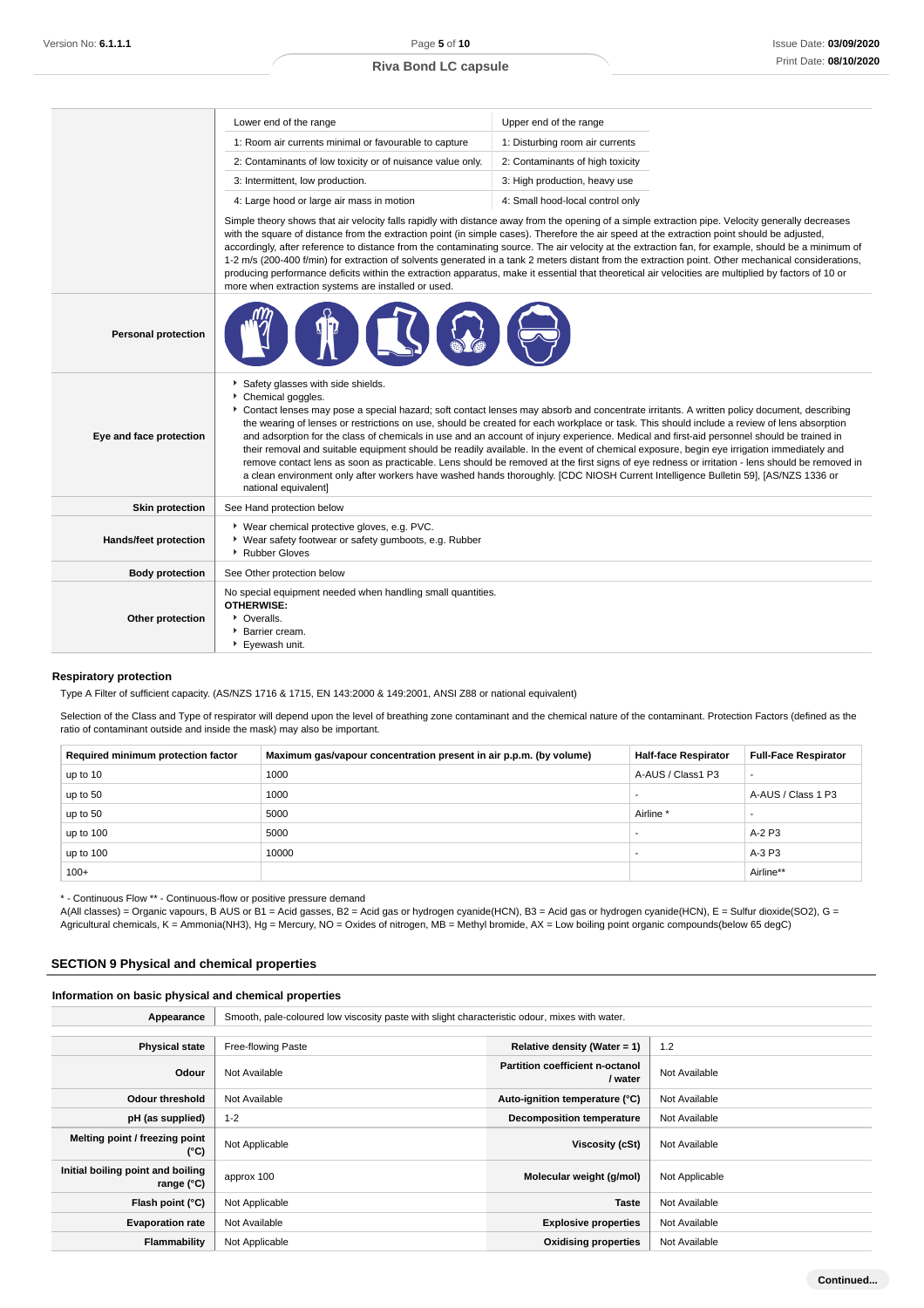|                            | Lower end of the range                                                                                                                                                                                                                                                                                                                                                                                                                                                                                                                                                                                                                                                                                                                                                                                                                                                                                                                                          | Upper end of the range                                                                                                                                                                                                                                                                                                                                                                                                                                                                                                                                                                                                                                                                                                                                                  |  |  |  |
|----------------------------|-----------------------------------------------------------------------------------------------------------------------------------------------------------------------------------------------------------------------------------------------------------------------------------------------------------------------------------------------------------------------------------------------------------------------------------------------------------------------------------------------------------------------------------------------------------------------------------------------------------------------------------------------------------------------------------------------------------------------------------------------------------------------------------------------------------------------------------------------------------------------------------------------------------------------------------------------------------------|-------------------------------------------------------------------------------------------------------------------------------------------------------------------------------------------------------------------------------------------------------------------------------------------------------------------------------------------------------------------------------------------------------------------------------------------------------------------------------------------------------------------------------------------------------------------------------------------------------------------------------------------------------------------------------------------------------------------------------------------------------------------------|--|--|--|
|                            | 1: Room air currents minimal or favourable to capture                                                                                                                                                                                                                                                                                                                                                                                                                                                                                                                                                                                                                                                                                                                                                                                                                                                                                                           | 1: Disturbing room air currents                                                                                                                                                                                                                                                                                                                                                                                                                                                                                                                                                                                                                                                                                                                                         |  |  |  |
|                            | 2: Contaminants of low toxicity or of nuisance value only.                                                                                                                                                                                                                                                                                                                                                                                                                                                                                                                                                                                                                                                                                                                                                                                                                                                                                                      | 2: Contaminants of high toxicity                                                                                                                                                                                                                                                                                                                                                                                                                                                                                                                                                                                                                                                                                                                                        |  |  |  |
|                            | 3: Intermittent, low production.                                                                                                                                                                                                                                                                                                                                                                                                                                                                                                                                                                                                                                                                                                                                                                                                                                                                                                                                | 3: High production, heavy use                                                                                                                                                                                                                                                                                                                                                                                                                                                                                                                                                                                                                                                                                                                                           |  |  |  |
|                            | 4: Large hood or large air mass in motion                                                                                                                                                                                                                                                                                                                                                                                                                                                                                                                                                                                                                                                                                                                                                                                                                                                                                                                       | 4: Small hood-local control only                                                                                                                                                                                                                                                                                                                                                                                                                                                                                                                                                                                                                                                                                                                                        |  |  |  |
|                            | more when extraction systems are installed or used.                                                                                                                                                                                                                                                                                                                                                                                                                                                                                                                                                                                                                                                                                                                                                                                                                                                                                                             | Simple theory shows that air velocity falls rapidly with distance away from the opening of a simple extraction pipe. Velocity generally decreases<br>with the square of distance from the extraction point (in simple cases). Therefore the air speed at the extraction point should be adjusted,<br>accordingly, after reference to distance from the contaminating source. The air velocity at the extraction fan, for example, should be a minimum of<br>1-2 m/s (200-400 f/min) for extraction of solvents generated in a tank 2 meters distant from the extraction point. Other mechanical considerations,<br>producing performance deficits within the extraction apparatus, make it essential that theoretical air velocities are multiplied by factors of 10 or |  |  |  |
| <b>Personal protection</b> |                                                                                                                                                                                                                                                                                                                                                                                                                                                                                                                                                                                                                                                                                                                                                                                                                                                                                                                                                                 |                                                                                                                                                                                                                                                                                                                                                                                                                                                                                                                                                                                                                                                                                                                                                                         |  |  |  |
| Eye and face protection    | Safety glasses with side shields.<br>Chemical goggles.<br>▶ Contact lenses may pose a special hazard; soft contact lenses may absorb and concentrate irritants. A written policy document, describing<br>the wearing of lenses or restrictions on use, should be created for each workplace or task. This should include a review of lens absorption<br>and adsorption for the class of chemicals in use and an account of injury experience. Medical and first-aid personnel should be trained in<br>their removal and suitable equipment should be readily available. In the event of chemical exposure, begin eye irrigation immediately and<br>remove contact lens as soon as practicable. Lens should be removed at the first signs of eye redness or irritation - lens should be removed in<br>a clean environment only after workers have washed hands thoroughly. [CDC NIOSH Current Intelligence Bulletin 59], [AS/NZS 1336 or<br>national equivalent] |                                                                                                                                                                                                                                                                                                                                                                                                                                                                                                                                                                                                                                                                                                                                                                         |  |  |  |
| <b>Skin protection</b>     | See Hand protection below                                                                                                                                                                                                                                                                                                                                                                                                                                                                                                                                                                                                                                                                                                                                                                                                                                                                                                                                       |                                                                                                                                                                                                                                                                                                                                                                                                                                                                                                                                                                                                                                                                                                                                                                         |  |  |  |
| Hands/feet protection      | ▶ Wear chemical protective gloves, e.g. PVC.<br>• Wear safety footwear or safety gumboots, e.g. Rubber<br>Rubber Gloves                                                                                                                                                                                                                                                                                                                                                                                                                                                                                                                                                                                                                                                                                                                                                                                                                                         |                                                                                                                                                                                                                                                                                                                                                                                                                                                                                                                                                                                                                                                                                                                                                                         |  |  |  |
| <b>Body protection</b>     | See Other protection below                                                                                                                                                                                                                                                                                                                                                                                                                                                                                                                                                                                                                                                                                                                                                                                                                                                                                                                                      |                                                                                                                                                                                                                                                                                                                                                                                                                                                                                                                                                                                                                                                                                                                                                                         |  |  |  |
| Other protection           | No special equipment needed when handling small quantities.<br><b>OTHERWISE:</b><br>• Overalls.<br>Barrier cream.<br>▶ Eyewash unit.                                                                                                                                                                                                                                                                                                                                                                                                                                                                                                                                                                                                                                                                                                                                                                                                                            |                                                                                                                                                                                                                                                                                                                                                                                                                                                                                                                                                                                                                                                                                                                                                                         |  |  |  |

### **Respiratory protection**

Type A Filter of sufficient capacity. (AS/NZS 1716 & 1715, EN 143:2000 & 149:2001, ANSI Z88 or national equivalent)

Selection of the Class and Type of respirator will depend upon the level of breathing zone contaminant and the chemical nature of the contaminant. Protection Factors (defined as the ratio of contaminant outside and inside the mask) may also be important.

| Required minimum protection factor | Maximum gas/vapour concentration present in air p.p.m. (by volume) | <b>Half-face Respirator</b> | <b>Full-Face Respirator</b> |
|------------------------------------|--------------------------------------------------------------------|-----------------------------|-----------------------------|
| up to 10                           | 1000                                                               | A-AUS / Class1 P3           | $\overline{\phantom{a}}$    |
| up to 50                           | 1000                                                               | $\overline{\phantom{a}}$    | A-AUS / Class 1 P3          |
| up to 50                           | 5000                                                               | Airline <sup>*</sup>        | -                           |
| up to 100                          | 5000                                                               | $\overline{\phantom{a}}$    | A-2 P3                      |
| up to $100$                        | 10000                                                              | $\overline{\phantom{a}}$    | A-3 P3                      |
| $100+$                             |                                                                    |                             | Airline**                   |

\* - Continuous Flow \*\* - Continuous-flow or positive pressure demand

A(All classes) = Organic vapours, B AUS or B1 = Acid gasses, B2 = Acid gas or hydrogen cyanide(HCN), B3 = Acid gas or hydrogen cyanide(HCN), E = Sulfur dioxide(SO2), G = Agricultural chemicals, K = Ammonia(NH3), Hg = Mercury, NO = Oxides of nitrogen, MB = Methyl bromide, AX = Low boiling point organic compounds(below 65 degC)

#### **SECTION 9 Physical and chemical properties**

#### **Information on basic physical and chemical properties**

| Appearance                                        | Smooth, pale-coloured low viscosity paste with slight characteristic odour, mixes with water. |                                            |                |
|---------------------------------------------------|-----------------------------------------------------------------------------------------------|--------------------------------------------|----------------|
|                                                   |                                                                                               |                                            |                |
| <b>Physical state</b>                             | Free-flowing Paste                                                                            | Relative density (Water = $1$ )            | 1.2            |
| Odour                                             | Not Available                                                                                 | Partition coefficient n-octanol<br>/ water | Not Available  |
| <b>Odour threshold</b>                            | Not Available                                                                                 | Auto-ignition temperature (°C)             | Not Available  |
| pH (as supplied)                                  | $1 - 2$                                                                                       | <b>Decomposition temperature</b>           | Not Available  |
| Melting point / freezing point<br>$(^{\circ}C)$   | Not Applicable                                                                                | Viscosity (cSt)                            | Not Available  |
| Initial boiling point and boiling<br>range $(°C)$ | approx 100                                                                                    | Molecular weight (g/mol)                   | Not Applicable |
| Flash point (°C)                                  | Not Applicable                                                                                | <b>Taste</b>                               | Not Available  |
| <b>Evaporation rate</b>                           | Not Available                                                                                 | <b>Explosive properties</b>                | Not Available  |
| Flammability                                      | Not Applicable                                                                                | <b>Oxidising properties</b>                | Not Available  |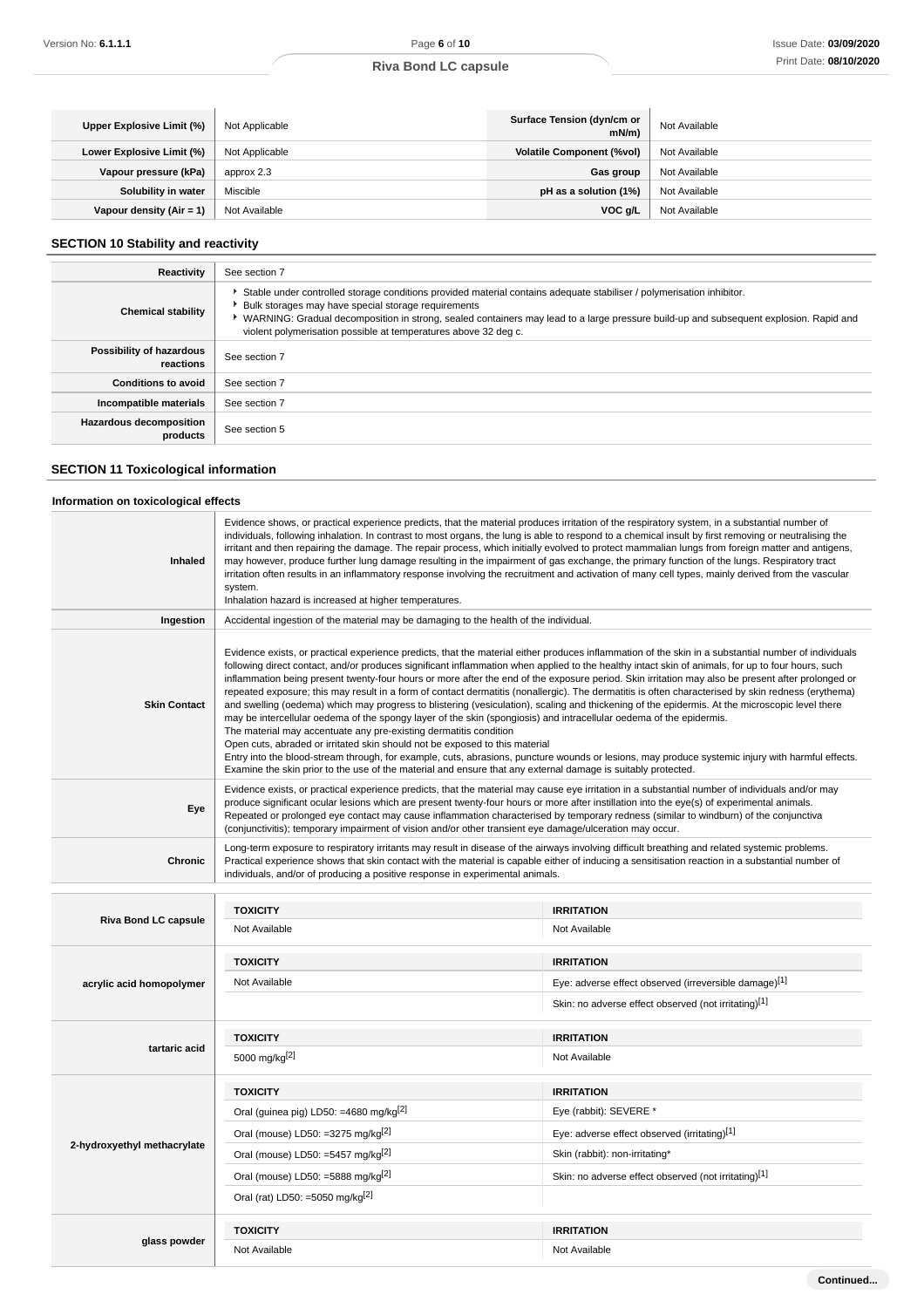| Upper Explosive Limit (%)  | Not Applicable | Surface Tension (dyn/cm or<br>mN/m | Not Available |
|----------------------------|----------------|------------------------------------|---------------|
| Lower Explosive Limit (%)  | Not Applicable | <b>Volatile Component (%vol)</b>   | Not Available |
| Vapour pressure (kPa)      | approx 2.3     | Gas group                          | Not Available |
| Solubility in water        | Miscible       | pH as a solution (1%)              | Not Available |
| Vapour density $(Air = 1)$ | Not Available  | VOC g/L                            | Not Available |

## **SECTION 10 Stability and reactivity**

| Reactivity                                 | See section 7                                                                                                                                                                                                                                                                                                                                                                              |
|--------------------------------------------|--------------------------------------------------------------------------------------------------------------------------------------------------------------------------------------------------------------------------------------------------------------------------------------------------------------------------------------------------------------------------------------------|
| <b>Chemical stability</b>                  | Stable under controlled storage conditions provided material contains adequate stabiliser / polymerisation inhibitor.<br>Bulk storages may have special storage requirements<br>▶ WARNING: Gradual decomposition in strong, sealed containers may lead to a large pressure build-up and subsequent explosion. Rapid and<br>violent polymerisation possible at temperatures above 32 deg c. |
| Possibility of hazardous<br>reactions      | See section 7                                                                                                                                                                                                                                                                                                                                                                              |
| <b>Conditions to avoid</b>                 | See section 7                                                                                                                                                                                                                                                                                                                                                                              |
| Incompatible materials                     | See section 7                                                                                                                                                                                                                                                                                                                                                                              |
| <b>Hazardous decomposition</b><br>products | See section 5                                                                                                                                                                                                                                                                                                                                                                              |

## **SECTION 11 Toxicological information**

### **Information on toxicological effects**

| Inhaled                     | Evidence shows, or practical experience predicts, that the material produces irritation of the respiratory system, in a substantial number of<br>individuals, following inhalation. In contrast to most organs, the lung is able to respond to a chemical insult by first removing or neutralising the<br>irritant and then repairing the damage. The repair process, which initially evolved to protect mammalian lungs from foreign matter and antigens,<br>may however, produce further lung damage resulting in the impairment of gas exchange, the primary function of the lungs. Respiratory tract<br>irritation often results in an inflammatory response involving the recruitment and activation of many cell types, mainly derived from the vascular<br>system.<br>Inhalation hazard is increased at higher temperatures.                                                                                                                                                                                                                                                                                                                                                                                                                                                                                   |                                                      |  |
|-----------------------------|-----------------------------------------------------------------------------------------------------------------------------------------------------------------------------------------------------------------------------------------------------------------------------------------------------------------------------------------------------------------------------------------------------------------------------------------------------------------------------------------------------------------------------------------------------------------------------------------------------------------------------------------------------------------------------------------------------------------------------------------------------------------------------------------------------------------------------------------------------------------------------------------------------------------------------------------------------------------------------------------------------------------------------------------------------------------------------------------------------------------------------------------------------------------------------------------------------------------------------------------------------------------------------------------------------------------------|------------------------------------------------------|--|
| Ingestion                   | Accidental ingestion of the material may be damaging to the health of the individual.                                                                                                                                                                                                                                                                                                                                                                                                                                                                                                                                                                                                                                                                                                                                                                                                                                                                                                                                                                                                                                                                                                                                                                                                                                 |                                                      |  |
| <b>Skin Contact</b>         | Evidence exists, or practical experience predicts, that the material either produces inflammation of the skin in a substantial number of individuals<br>following direct contact, and/or produces significant inflammation when applied to the healthy intact skin of animals, for up to four hours, such<br>inflammation being present twenty-four hours or more after the end of the exposure period. Skin irritation may also be present after prolonged or<br>repeated exposure; this may result in a form of contact dermatitis (nonallergic). The dermatitis is often characterised by skin redness (erythema)<br>and swelling (oedema) which may progress to blistering (vesiculation), scaling and thickening of the epidermis. At the microscopic level there<br>may be intercellular oedema of the spongy layer of the skin (spongiosis) and intracellular oedema of the epidermis.<br>The material may accentuate any pre-existing dermatitis condition<br>Open cuts, abraded or irritated skin should not be exposed to this material<br>Entry into the blood-stream through, for example, cuts, abrasions, puncture wounds or lesions, may produce systemic injury with harmful effects.<br>Examine the skin prior to the use of the material and ensure that any external damage is suitably protected. |                                                      |  |
| Eye                         | Evidence exists, or practical experience predicts, that the material may cause eye irritation in a substantial number of individuals and/or may<br>produce significant ocular lesions which are present twenty-four hours or more after instillation into the eye(s) of experimental animals.<br>Repeated or prolonged eye contact may cause inflammation characterised by temporary redness (similar to windburn) of the conjunctiva<br>(conjunctivitis); temporary impairment of vision and/or other transient eye damage/ulceration may occur.                                                                                                                                                                                                                                                                                                                                                                                                                                                                                                                                                                                                                                                                                                                                                                     |                                                      |  |
| Chronic                     | Long-term exposure to respiratory irritants may result in disease of the airways involving difficult breathing and related systemic problems.<br>Practical experience shows that skin contact with the material is capable either of inducing a sensitisation reaction in a substantial number of<br>individuals, and/or of producing a positive response in experimental animals.                                                                                                                                                                                                                                                                                                                                                                                                                                                                                                                                                                                                                                                                                                                                                                                                                                                                                                                                    |                                                      |  |
|                             | <b>TOXICITY</b>                                                                                                                                                                                                                                                                                                                                                                                                                                                                                                                                                                                                                                                                                                                                                                                                                                                                                                                                                                                                                                                                                                                                                                                                                                                                                                       | <b>IRRITATION</b>                                    |  |
| <b>Riva Bond LC capsule</b> | Not Available                                                                                                                                                                                                                                                                                                                                                                                                                                                                                                                                                                                                                                                                                                                                                                                                                                                                                                                                                                                                                                                                                                                                                                                                                                                                                                         | Not Available                                        |  |
|                             |                                                                                                                                                                                                                                                                                                                                                                                                                                                                                                                                                                                                                                                                                                                                                                                                                                                                                                                                                                                                                                                                                                                                                                                                                                                                                                                       |                                                      |  |
|                             | <b>TOXICITY</b>                                                                                                                                                                                                                                                                                                                                                                                                                                                                                                                                                                                                                                                                                                                                                                                                                                                                                                                                                                                                                                                                                                                                                                                                                                                                                                       | <b>IRRITATION</b>                                    |  |
| acrylic acid homopolymer    | Not Available<br>Eye: adverse effect observed (irreversible damage)[1]                                                                                                                                                                                                                                                                                                                                                                                                                                                                                                                                                                                                                                                                                                                                                                                                                                                                                                                                                                                                                                                                                                                                                                                                                                                |                                                      |  |
|                             |                                                                                                                                                                                                                                                                                                                                                                                                                                                                                                                                                                                                                                                                                                                                                                                                                                                                                                                                                                                                                                                                                                                                                                                                                                                                                                                       | Skin: no adverse effect observed (not irritating)[1] |  |
|                             | <b>TOXICITY</b>                                                                                                                                                                                                                                                                                                                                                                                                                                                                                                                                                                                                                                                                                                                                                                                                                                                                                                                                                                                                                                                                                                                                                                                                                                                                                                       | <b>IRRITATION</b>                                    |  |
| tartaric acid               | 5000 mg/kg <sup>[2]</sup>                                                                                                                                                                                                                                                                                                                                                                                                                                                                                                                                                                                                                                                                                                                                                                                                                                                                                                                                                                                                                                                                                                                                                                                                                                                                                             | Not Available                                        |  |
|                             | <b>TOXICITY</b>                                                                                                                                                                                                                                                                                                                                                                                                                                                                                                                                                                                                                                                                                                                                                                                                                                                                                                                                                                                                                                                                                                                                                                                                                                                                                                       | <b>IRRITATION</b>                                    |  |
|                             | Oral (guinea pig) LD50: =4680 mg/kg <sup>[2]</sup>                                                                                                                                                                                                                                                                                                                                                                                                                                                                                                                                                                                                                                                                                                                                                                                                                                                                                                                                                                                                                                                                                                                                                                                                                                                                    | Eye (rabbit): SEVERE *                               |  |
|                             | Oral (mouse) LD50: =3275 mg/kg <sup>[2]</sup>                                                                                                                                                                                                                                                                                                                                                                                                                                                                                                                                                                                                                                                                                                                                                                                                                                                                                                                                                                                                                                                                                                                                                                                                                                                                         | Eye: adverse effect observed (irritating)[1]         |  |
| 2-hydroxyethyl methacrylate | Oral (mouse) LD50: =5457 mg/kg $^{[2]}$                                                                                                                                                                                                                                                                                                                                                                                                                                                                                                                                                                                                                                                                                                                                                                                                                                                                                                                                                                                                                                                                                                                                                                                                                                                                               | Skin (rabbit): non-irritating*                       |  |
|                             | Oral (mouse) LD50: =5888 mg/kg $^{[2]}$                                                                                                                                                                                                                                                                                                                                                                                                                                                                                                                                                                                                                                                                                                                                                                                                                                                                                                                                                                                                                                                                                                                                                                                                                                                                               | Skin: no adverse effect observed (not irritating)[1] |  |
|                             | Oral (rat) LD50: =5050 mg/kg <sup>[2]</sup>                                                                                                                                                                                                                                                                                                                                                                                                                                                                                                                                                                                                                                                                                                                                                                                                                                                                                                                                                                                                                                                                                                                                                                                                                                                                           |                                                      |  |
|                             | <b>TOXICITY</b>                                                                                                                                                                                                                                                                                                                                                                                                                                                                                                                                                                                                                                                                                                                                                                                                                                                                                                                                                                                                                                                                                                                                                                                                                                                                                                       | <b>IRRITATION</b>                                    |  |
| glass powder                | Not Available                                                                                                                                                                                                                                                                                                                                                                                                                                                                                                                                                                                                                                                                                                                                                                                                                                                                                                                                                                                                                                                                                                                                                                                                                                                                                                         | Not Available                                        |  |
|                             |                                                                                                                                                                                                                                                                                                                                                                                                                                                                                                                                                                                                                                                                                                                                                                                                                                                                                                                                                                                                                                                                                                                                                                                                                                                                                                                       |                                                      |  |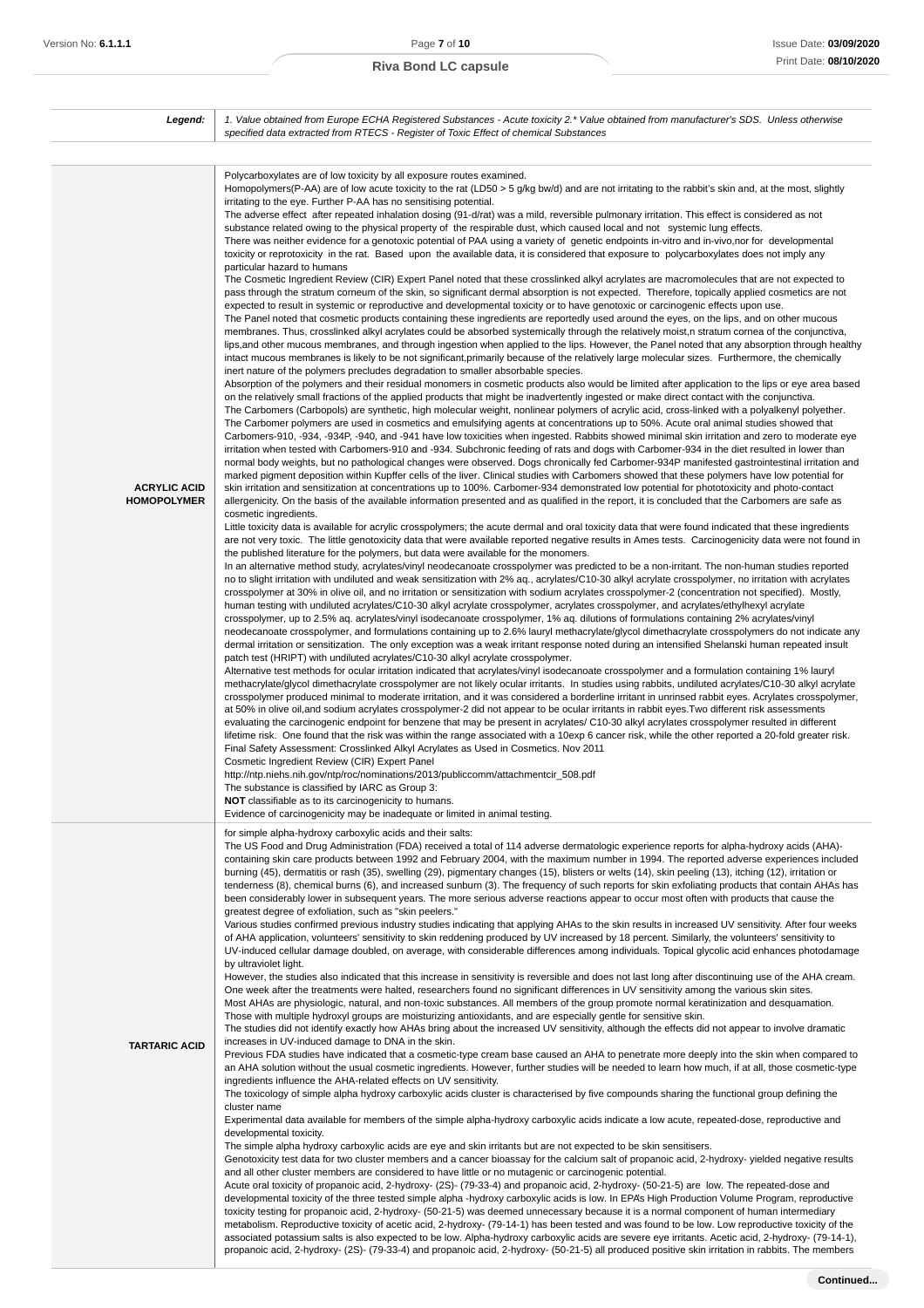| Legend:                                   | 1. Value obtained from Europe ECHA Registered Substances - Acute toxicity 2.* Value obtained from manufacturer's SDS. Unless otherwise                                                                                                                                                                                                                                                                                                                                                                                                                                                                                                                                                                                                                                                                                                                                                                                                                                                                                                                                                                                                                                                                                                                                                                                                                                                                                                                                                                                                                                                                                                                                                                                                                                                                                                                                                                                                                                                                                                                                                                                                                                                                                                                                                                                                                                                                                                                                                                                                                                                                                                                                                                                                                                                                                                                                                                                                                                                                                                                                                                                                                                                                                                                                                                                                                                                                                                                                                                                                                                                                                                                                                                                                                                                                                                                                                                                                                                                                                                                                                                                                                                                                                                                                                                                                                                                                                                                                                                                                                                                                                                                                                                                                                                                                                                                                                                                                                                                                                                                                                                                                                                                                                                                                                                                                                                                                                                                                                                                                                                                                                                                                                                                                                                                                                                                                                                                                                                                                                                                                                                                                                                                                                                                                                                                                                                                                                                                                          |
|-------------------------------------------|---------------------------------------------------------------------------------------------------------------------------------------------------------------------------------------------------------------------------------------------------------------------------------------------------------------------------------------------------------------------------------------------------------------------------------------------------------------------------------------------------------------------------------------------------------------------------------------------------------------------------------------------------------------------------------------------------------------------------------------------------------------------------------------------------------------------------------------------------------------------------------------------------------------------------------------------------------------------------------------------------------------------------------------------------------------------------------------------------------------------------------------------------------------------------------------------------------------------------------------------------------------------------------------------------------------------------------------------------------------------------------------------------------------------------------------------------------------------------------------------------------------------------------------------------------------------------------------------------------------------------------------------------------------------------------------------------------------------------------------------------------------------------------------------------------------------------------------------------------------------------------------------------------------------------------------------------------------------------------------------------------------------------------------------------------------------------------------------------------------------------------------------------------------------------------------------------------------------------------------------------------------------------------------------------------------------------------------------------------------------------------------------------------------------------------------------------------------------------------------------------------------------------------------------------------------------------------------------------------------------------------------------------------------------------------------------------------------------------------------------------------------------------------------------------------------------------------------------------------------------------------------------------------------------------------------------------------------------------------------------------------------------------------------------------------------------------------------------------------------------------------------------------------------------------------------------------------------------------------------------------------------------------------------------------------------------------------------------------------------------------------------------------------------------------------------------------------------------------------------------------------------------------------------------------------------------------------------------------------------------------------------------------------------------------------------------------------------------------------------------------------------------------------------------------------------------------------------------------------------------------------------------------------------------------------------------------------------------------------------------------------------------------------------------------------------------------------------------------------------------------------------------------------------------------------------------------------------------------------------------------------------------------------------------------------------------------------------------------------------------------------------------------------------------------------------------------------------------------------------------------------------------------------------------------------------------------------------------------------------------------------------------------------------------------------------------------------------------------------------------------------------------------------------------------------------------------------------------------------------------------------------------------------------------------------------------------------------------------------------------------------------------------------------------------------------------------------------------------------------------------------------------------------------------------------------------------------------------------------------------------------------------------------------------------------------------------------------------------------------------------------------------------------------------------------------------------------------------------------------------------------------------------------------------------------------------------------------------------------------------------------------------------------------------------------------------------------------------------------------------------------------------------------------------------------------------------------------------------------------------------------------------------------------------------------------------------------------------------------------------------------------------------------------------------------------------------------------------------------------------------------------------------------------------------------------------------------------------------------------------------------------------------------------------------------------------------------------------------------------------------------------------------------------------------------------------------------------------------------|
|                                           | specified data extracted from RTECS - Register of Toxic Effect of chemical Substances                                                                                                                                                                                                                                                                                                                                                                                                                                                                                                                                                                                                                                                                                                                                                                                                                                                                                                                                                                                                                                                                                                                                                                                                                                                                                                                                                                                                                                                                                                                                                                                                                                                                                                                                                                                                                                                                                                                                                                                                                                                                                                                                                                                                                                                                                                                                                                                                                                                                                                                                                                                                                                                                                                                                                                                                                                                                                                                                                                                                                                                                                                                                                                                                                                                                                                                                                                                                                                                                                                                                                                                                                                                                                                                                                                                                                                                                                                                                                                                                                                                                                                                                                                                                                                                                                                                                                                                                                                                                                                                                                                                                                                                                                                                                                                                                                                                                                                                                                                                                                                                                                                                                                                                                                                                                                                                                                                                                                                                                                                                                                                                                                                                                                                                                                                                                                                                                                                                                                                                                                                                                                                                                                                                                                                                                                                                                                                                           |
| <b>ACRYLIC ACID</b><br><b>HOMOPOLYMER</b> | Polycarboxylates are of low toxicity by all exposure routes examined.<br>Homopolymers(P-AA) are of low acute toxicity to the rat (LD50 > 5 g/kg bw/d) and are not irritating to the rabbit's skin and, at the most, slightly<br>irritating to the eye. Further P-AA has no sensitising potential.<br>The adverse effect after repeated inhalation dosing (91-d/rat) was a mild, reversible pulmonary irritation. This effect is considered as not<br>substance related owing to the physical property of the respirable dust, which caused local and not systemic lung effects.<br>There was neither evidence for a genotoxic potential of PAA using a variety of genetic endpoints in-vitro and in-vivo,nor for developmental<br>toxicity or reprotoxicity in the rat. Based upon the available data, it is considered that exposure to polycarboxylates does not imply any<br>particular hazard to humans<br>The Cosmetic Ingredient Review (CIR) Expert Panel noted that these crosslinked alkyl acrylates are macromolecules that are not expected to<br>pass through the stratum corneum of the skin, so significant dermal absorption is not expected. Therefore, topically applied cosmetics are not<br>expected to result in systemic or reproductive and developmental toxicity or to have genotoxic or carcinogenic effects upon use.<br>The Panel noted that cosmetic products containing these ingredients are reportedly used around the eyes, on the lips, and on other mucous<br>membranes. Thus, crosslinked alkyl acrylates could be absorbed systemically through the relatively moist, n stratum cornea of the conjunctiva,<br>lips, and other mucous membranes, and through ingestion when applied to the lips. However, the Panel noted that any absorption through healthy<br>intact mucous membranes is likely to be not significant, primarily because of the relatively large molecular sizes. Furthermore, the chemically<br>inert nature of the polymers precludes degradation to smaller absorbable species.<br>Absorption of the polymers and their residual monomers in cosmetic products also would be limited after application to the lips or eye area based<br>on the relatively small fractions of the applied products that might be inadvertently ingested or make direct contact with the conjunctiva.<br>The Carbomers (Carbopols) are synthetic, high molecular weight, nonlinear polymers of acrylic acid, cross-linked with a polyalkenyl polyether.<br>The Carbomer polymers are used in cosmetics and emulsifying agents at concentrations up to 50%. Acute oral animal studies showed that<br>Carbomers-910, -934, -934P, -940, and -941 have low toxicities when ingested. Rabbits showed minimal skin irritation and zero to moderate eye<br>irritation when tested with Carbomers-910 and -934. Subchronic feeding of rats and dogs with Carbomer-934 in the diet resulted in lower than<br>normal body weights, but no pathological changes were observed. Dogs chronically fed Carbomer-934P manifested gastrointestinal irritation and<br>marked pigment deposition within Kupffer cells of the liver. Clinical studies with Carbomers showed that these polymers have low potential for<br>skin irritation and sensitization at concentrations up to 100%. Carbomer-934 demonstrated low potential for phototoxicity and photo-contact<br>allergenicity. On the basis of the available information presented and as qualified in the report, it is concluded that the Carbomers are safe as<br>cosmetic ingredients.<br>Little toxicity data is available for acrylic crosspolymers; the acute dermal and oral toxicity data that were found indicated that these ingredients<br>are not very toxic. The little genotoxicity data that were available reported negative results in Ames tests. Carcinogenicity data were not found in<br>the published literature for the polymers, but data were available for the monomers.<br>In an alternative method study, acrylates/vinyl neodecanoate crosspolymer was predicted to be a non-irritant. The non-human studies reported<br>no to slight irritation with undiluted and weak sensitization with 2% aq., acrylates/C10-30 alkyl acrylate crosspolymer, no irritation with acrylates<br>crosspolymer at 30% in olive oil, and no irritation or sensitization with sodium acrylates crosspolymer-2 (concentration not specified). Mostly,<br>human testing with undiluted acrylates/C10-30 alkyl acrylate crosspolymer, acrylates crosspolymer, and acrylates/ethylhexyl acrylate<br>crosspolymer, up to 2.5% aq. acrylates/vinyl isodecanoate crosspolymer, 1% aq. dilutions of formulations containing 2% acrylates/vinyl<br>neodecanoate crosspolymer, and formulations containing up to 2.6% lauryl methacrylate/glycol dimethacrylate crosspolymers do not indicate any<br>dermal irritation or sensitization. The only exception was a weak irritant response noted during an intensified Shelanski human repeated insult<br>patch test (HRIPT) with undiluted acrylates/C10-30 alkyl acrylate crosspolymer.<br>Alternative test methods for ocular irritation indicated that acrylates/vinyl isodecanoate crosspolymer and a formulation containing 1% lauryl<br>methacrylate/glycol dimethacrylate crosspolymer are not likely ocular irritants. In studies using rabbits, undiluted acrylates/C10-30 alkyl acrylate<br>crosspolymer produced minimal to moderate irritation, and it was considered a borderline irritant in unrinsed rabbit eyes. Acrylates crosspolymer,<br>at 50% in olive oil, and sodium acrylates crosspolymer-2 did not appear to be ocular irritants in rabbit eyes. Two different risk assessments<br>evaluating the carcinogenic endpoint for benzene that may be present in acrylates/ C10-30 alkyl acrylates crosspolymer resulted in different<br>lifetime risk. One found that the risk was within the range associated with a 10exp 6 cancer risk, while the other reported a 20-fold greater risk.<br>Final Safety Assessment: Crosslinked Alkyl Acrylates as Used in Cosmetics. Nov 2011<br>Cosmetic Ingredient Review (CIR) Expert Panel<br>http://ntp.niehs.nih.gov/ntp/roc/nominations/2013/publiccomm/attachmentcir_508.pdf<br>The substance is classified by IARC as Group 3:<br><b>NOT</b> classifiable as to its carcinogenicity to humans.<br>Evidence of carcinogenicity may be inadequate or limited in animal testing. |
| <b>TARTARIC ACID</b>                      | for simple alpha-hydroxy carboxylic acids and their salts:<br>The US Food and Drug Administration (FDA) received a total of 114 adverse dermatologic experience reports for alpha-hydroxy acids (AHA)-<br>containing skin care products between 1992 and February 2004, with the maximum number in 1994. The reported adverse experiences included<br>burning (45), dermatitis or rash (35), swelling (29), pigmentary changes (15), blisters or welts (14), skin peeling (13), itching (12), irritation or<br>tenderness (8), chemical burns (6), and increased sunburn (3). The frequency of such reports for skin exfoliating products that contain AHAs has<br>been considerably lower in subsequent years. The more serious adverse reactions appear to occur most often with products that cause the<br>greatest degree of exfoliation, such as "skin peelers."<br>Various studies confirmed previous industry studies indicating that applying AHAs to the skin results in increased UV sensitivity. After four weeks<br>of AHA application, volunteers' sensitivity to skin reddening produced by UV increased by 18 percent. Similarly, the volunteers' sensitivity to<br>UV-induced cellular damage doubled, on average, with considerable differences among individuals. Topical glycolic acid enhances photodamage<br>by ultraviolet light.<br>However, the studies also indicated that this increase in sensitivity is reversible and does not last long after discontinuing use of the AHA cream.<br>One week after the treatments were halted, researchers found no significant differences in UV sensitivity among the various skin sites.<br>Most AHAs are physiologic, natural, and non-toxic substances. All members of the group promote normal keratinization and desquamation.<br>Those with multiple hydroxyl groups are moisturizing antioxidants, and are especially gentle for sensitive skin.<br>The studies did not identify exactly how AHAs bring about the increased UV sensitivity, although the effects did not appear to involve dramatic<br>increases in UV-induced damage to DNA in the skin.<br>Previous FDA studies have indicated that a cosmetic-type cream base caused an AHA to penetrate more deeply into the skin when compared to<br>an AHA solution without the usual cosmetic ingredients. However, further studies will be needed to learn how much, if at all, those cosmetic-type<br>ingredients influence the AHA-related effects on UV sensitivity.<br>The toxicology of simple alpha hydroxy carboxylic acids cluster is characterised by five compounds sharing the functional group defining the<br>cluster name<br>Experimental data available for members of the simple alpha-hydroxy carboxylic acids indicate a low acute, repeated-dose, reproductive and<br>developmental toxicity.<br>The simple alpha hydroxy carboxylic acids are eye and skin irritants but are not expected to be skin sensitisers.<br>Genotoxicity test data for two cluster members and a cancer bioassay for the calcium salt of propanoic acid, 2-hydroxy- yielded negative results<br>and all other cluster members are considered to have little or no mutagenic or carcinogenic potential.<br>Acute oral toxicity of propanoic acid, 2-hydroxy- (2S)- (79-33-4) and propanoic acid, 2-hydroxy- (50-21-5) are low. The repeated-dose and<br>developmental toxicity of the three tested simple alpha -hydroxy carboxylic acids is low. In EPA's High Production Volume Program, reproductive<br>toxicity testing for propanoic acid, 2-hydroxy- (50-21-5) was deemed unnecessary because it is a normal component of human intermediary<br>metabolism. Reproductive toxicity of acetic acid, 2-hydroxy- (79-14-1) has been tested and was found to be low. Low reproductive toxicity of the<br>associated potassium salts is also expected to be low. Alpha-hydroxy carboxylic acids are severe eye irritants. Acetic acid, 2-hydroxy- (79-14-1),<br>propanoic acid, 2-hydroxy- (2S)- (79-33-4) and propanoic acid, 2-hydroxy- (50-21-5) all produced positive skin irritation in rabbits. The members                                                                                                                                                                                                                                                                                                                                                                                                                                                                                                                                                                                                                                                                                                                                                                                                                                                                                                                                                                                                                                                                                                                                                                                                                                                                                                                                                                                                                                                                                                                                                                                                                                                                                                                                                                                                                                                                                                                                                                                                                                                                                                                                                                                                                                                                                                                                   |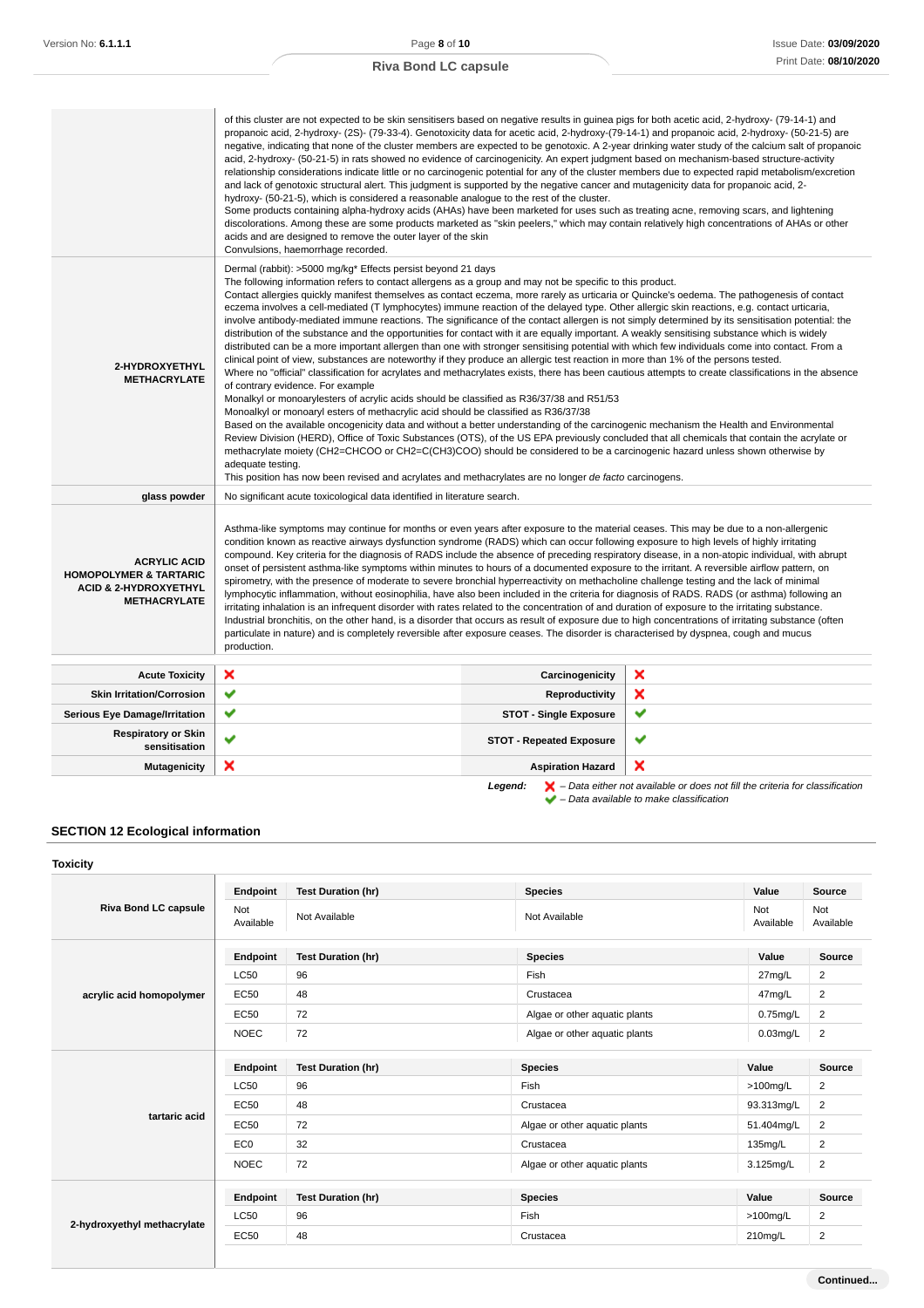|                                                                                                                     | of this cluster are not expected to be skin sensitisers based on negative results in quinea pigs for both acetic acid, 2-hydroxy- (79-14-1) and<br>propanoic acid, 2-hydroxy- (2S)- (79-33-4). Genotoxicity data for acetic acid, 2-hydroxy-(79-14-1) and propanoic acid, 2-hydroxy- (50-21-5) are<br>acid, 2-hydroxy- (50-21-5) in rats showed no evidence of carcinogenicity. An expert judgment based on mechanism-based structure-activity<br>relationship considerations indicate little or no carcinogenic potential for any of the cluster members due to expected rapid metabolism/excretion<br>and lack of genotoxic structural alert. This judgment is supported by the negative cancer and mutagenicity data for propanoic acid, 2-<br>hydroxy- (50-21-5), which is considered a reasonable analogue to the rest of the cluster.<br>Some products containing alpha-hydroxy acids (AHAs) have been marketed for uses such as treating acne, removing scars, and lightening<br>discolorations. Among these are some products marketed as "skin peelers," which may contain relatively high concentrations of AHAs or other<br>acids and are designed to remove the outer layer of the skin<br>Convulsions, haemorrhage recorded.                                                                                                                                                                                                                                                                                                                                                                                                                                                                                                                                                                                                                                                                                                                                                                   |                                 | negative, indicating that none of the cluster members are expected to be genotoxic. A 2-year drinking water study of the calcium salt of propanoic |
|---------------------------------------------------------------------------------------------------------------------|-------------------------------------------------------------------------------------------------------------------------------------------------------------------------------------------------------------------------------------------------------------------------------------------------------------------------------------------------------------------------------------------------------------------------------------------------------------------------------------------------------------------------------------------------------------------------------------------------------------------------------------------------------------------------------------------------------------------------------------------------------------------------------------------------------------------------------------------------------------------------------------------------------------------------------------------------------------------------------------------------------------------------------------------------------------------------------------------------------------------------------------------------------------------------------------------------------------------------------------------------------------------------------------------------------------------------------------------------------------------------------------------------------------------------------------------------------------------------------------------------------------------------------------------------------------------------------------------------------------------------------------------------------------------------------------------------------------------------------------------------------------------------------------------------------------------------------------------------------------------------------------------------------------------------------------------------------------------------------------------------------------|---------------------------------|----------------------------------------------------------------------------------------------------------------------------------------------------|
| 2-HYDROXYETHYL<br><b>METHACRYLATE</b>                                                                               | Dermal (rabbit): >5000 mg/kg* Effects persist beyond 21 days<br>The following information refers to contact allergens as a group and may not be specific to this product.<br>Contact allergies quickly manifest themselves as contact eczema, more rarely as urticaria or Quincke's oedema. The pathogenesis of contact<br>eczema involves a cell-mediated (T lymphocytes) immune reaction of the delayed type. Other allergic skin reactions, e.g. contact urticaria,<br>involve antibody-mediated immune reactions. The significance of the contact allergen is not simply determined by its sensitisation potential: the<br>distribution of the substance and the opportunities for contact with it are equally important. A weakly sensitising substance which is widely<br>distributed can be a more important allergen than one with stronger sensitising potential with which few individuals come into contact. From a<br>clinical point of view, substances are noteworthy if they produce an allergic test reaction in more than 1% of the persons tested.<br>Where no "official" classification for acrylates and methacrylates exists, there has been cautious attempts to create classifications in the absence<br>of contrary evidence. For example<br>Monalkyl or monoarylesters of acrylic acids should be classified as R36/37/38 and R51/53<br>Monoalkyl or monoaryl esters of methacrylic acid should be classified as R36/37/38<br>Based on the available oncogenicity data and without a better understanding of the carcinogenic mechanism the Health and Environmental<br>Review Division (HERD), Office of Toxic Substances (OTS), of the US EPA previously concluded that all chemicals that contain the acrylate or<br>methacrylate moiety (CH2=CHCOO or CH2=C(CH3)COO) should be considered to be a carcinogenic hazard unless shown otherwise by<br>adequate testing.<br>This position has now been revised and acrylates and methacrylates are no longer de facto carcinogens. |                                 |                                                                                                                                                    |
| glass powder                                                                                                        | No significant acute toxicological data identified in literature search.                                                                                                                                                                                                                                                                                                                                                                                                                                                                                                                                                                                                                                                                                                                                                                                                                                                                                                                                                                                                                                                                                                                                                                                                                                                                                                                                                                                                                                                                                                                                                                                                                                                                                                                                                                                                                                                                                                                                    |                                 |                                                                                                                                                    |
| <b>ACRYLIC ACID</b><br><b>HOMOPOLYMER &amp; TARTARIC</b><br><b>ACID &amp; 2-HYDROXYETHYL</b><br><b>METHACRYLATE</b> | Asthma-like symptoms may continue for months or even years after exposure to the material ceases. This may be due to a non-allergenic<br>condition known as reactive airways dysfunction syndrome (RADS) which can occur following exposure to high levels of highly irritating<br>compound. Key criteria for the diagnosis of RADS include the absence of preceding respiratory disease, in a non-atopic individual, with abrupt<br>onset of persistent asthma-like symptoms within minutes to hours of a documented exposure to the irritant. A reversible airflow pattern, on<br>spirometry, with the presence of moderate to severe bronchial hyperreactivity on methacholine challenge testing and the lack of minimal<br>lymphocytic inflammation, without eosinophilia, have also been included in the criteria for diagnosis of RADS. RADS (or asthma) following an<br>irritating inhalation is an infrequent disorder with rates related to the concentration of and duration of exposure to the irritating substance.<br>Industrial bronchitis, on the other hand, is a disorder that occurs as result of exposure due to high concentrations of irritating substance (often<br>particulate in nature) and is completely reversible after exposure ceases. The disorder is characterised by dyspnea, cough and mucus<br>production.                                                                                                                                                                                                                                                                                                                                                                                                                                                                                                                                                                                                                                                               |                                 |                                                                                                                                                    |
| <b>Acute Toxicity</b>                                                                                               | ×                                                                                                                                                                                                                                                                                                                                                                                                                                                                                                                                                                                                                                                                                                                                                                                                                                                                                                                                                                                                                                                                                                                                                                                                                                                                                                                                                                                                                                                                                                                                                                                                                                                                                                                                                                                                                                                                                                                                                                                                           | Carcinogenicity                 | ×                                                                                                                                                  |
| <b>Skin Irritation/Corrosion</b>                                                                                    | ✔                                                                                                                                                                                                                                                                                                                                                                                                                                                                                                                                                                                                                                                                                                                                                                                                                                                                                                                                                                                                                                                                                                                                                                                                                                                                                                                                                                                                                                                                                                                                                                                                                                                                                                                                                                                                                                                                                                                                                                                                           | <b>Reproductivity</b>           | ×                                                                                                                                                  |
| <b>Serious Eye Damage/Irritation</b>                                                                                | ✔                                                                                                                                                                                                                                                                                                                                                                                                                                                                                                                                                                                                                                                                                                                                                                                                                                                                                                                                                                                                                                                                                                                                                                                                                                                                                                                                                                                                                                                                                                                                                                                                                                                                                                                                                                                                                                                                                                                                                                                                           | <b>STOT - Single Exposure</b>   | ✔                                                                                                                                                  |
| <b>Respiratory or Skin</b><br>sensitisation                                                                         | ✔                                                                                                                                                                                                                                                                                                                                                                                                                                                                                                                                                                                                                                                                                                                                                                                                                                                                                                                                                                                                                                                                                                                                                                                                                                                                                                                                                                                                                                                                                                                                                                                                                                                                                                                                                                                                                                                                                                                                                                                                           | <b>STOT - Repeated Exposure</b> | ✔                                                                                                                                                  |
| <b>Mutagenicity</b>                                                                                                 | ×                                                                                                                                                                                                                                                                                                                                                                                                                                                                                                                                                                                                                                                                                                                                                                                                                                                                                                                                                                                                                                                                                                                                                                                                                                                                                                                                                                                                                                                                                                                                                                                                                                                                                                                                                                                                                                                                                                                                                                                                           | <b>Aspiration Hazard</b>        | ×                                                                                                                                                  |

Legend:  $\mathsf{X}$  – Data either not available or does not fill the criteria for classification – Data available to make classification

### **SECTION 12 Ecological information**

### **Toxicity**

| <b>Riva Bond LC capsule</b> | Endpoint         | <b>Test Duration (hr)</b> | <b>Species</b>                | Value            | Source           |
|-----------------------------|------------------|---------------------------|-------------------------------|------------------|------------------|
|                             | Not<br>Available | Not Available             | Not Available                 | Not<br>Available | Not<br>Available |
|                             | Endpoint         | <b>Test Duration (hr)</b> | <b>Species</b>                | Value            | Source           |
|                             | <b>LC50</b>      | 96                        | Fish                          | 27mg/L           | 2                |
| acrylic acid homopolymer    | <b>EC50</b>      | 48                        | Crustacea                     | 47mg/L           | 2                |
|                             | EC50             | 72                        | Algae or other aquatic plants | $0.75$ mg/L      | 2                |
|                             | <b>NOEC</b>      | 72                        | Algae or other aquatic plants | $0.03$ mg/L      | $\sqrt{2}$       |
| tartaric acid               | Endpoint         | <b>Test Duration (hr)</b> | <b>Species</b>                | Value            | Source           |
|                             | <b>LC50</b>      | 96                        | Fish                          | $>100$ mg/L      | $\overline{2}$   |
|                             | <b>EC50</b>      | 48                        | Crustacea                     | 93.313mg/L       | $\overline{2}$   |
|                             | <b>EC50</b>      | 72                        | Algae or other aquatic plants | 51.404mg/L       | $\overline{2}$   |
|                             |                  |                           |                               |                  |                  |
|                             | EC <sub>0</sub>  | 32                        | Crustacea                     | 135mg/L          | $\overline{c}$   |
|                             | <b>NOEC</b>      | 72                        | Algae or other aquatic plants | 3.125mg/L        | $\overline{c}$   |
|                             | Endpoint         | <b>Test Duration (hr)</b> | <b>Species</b>                | Value            |                  |
| 2-hydroxyethyl methacrylate | <b>LC50</b>      | 96                        | Fish                          | $>100$ mg/L      | Source<br>2      |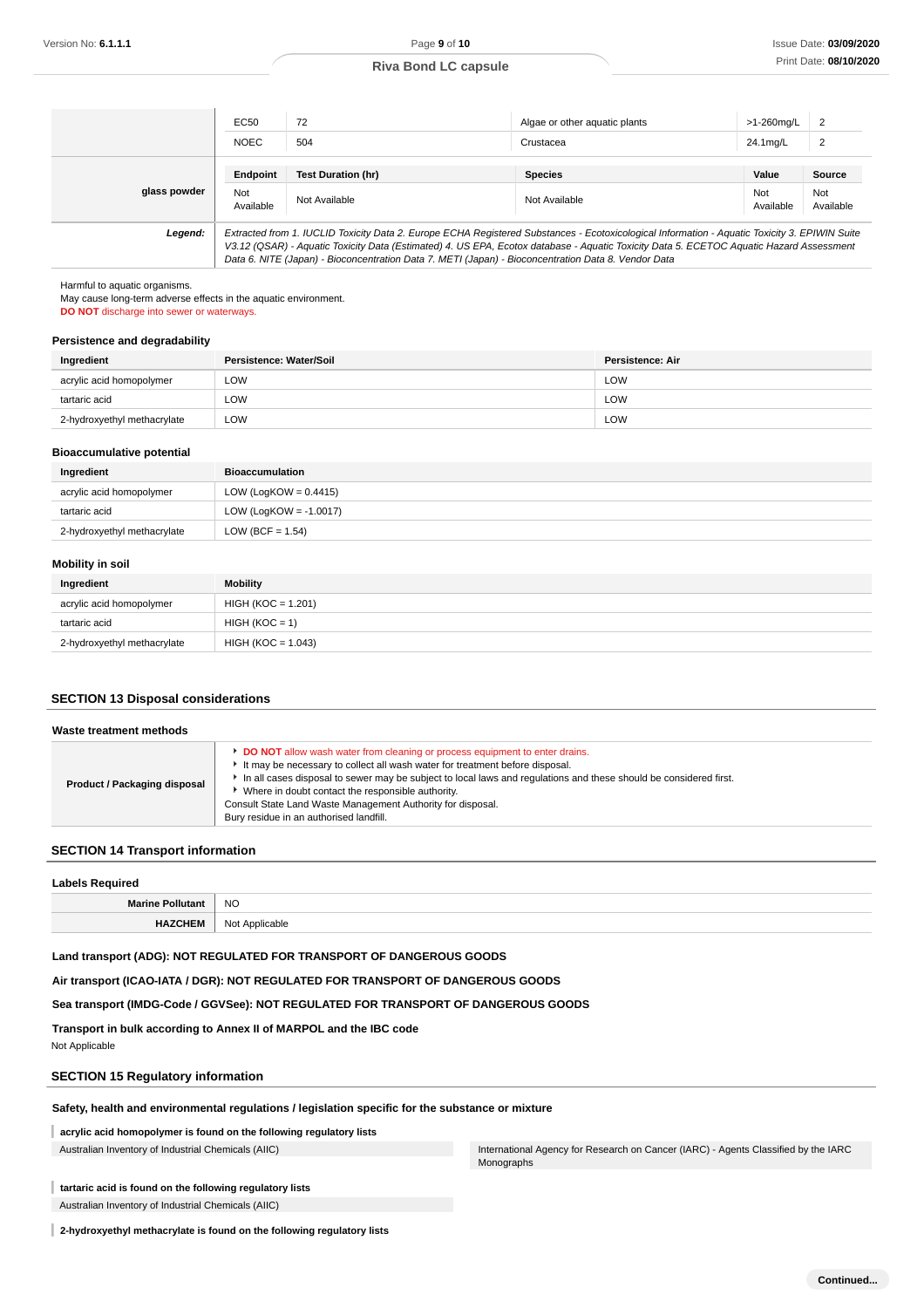|              | EC50             | 72                                                                                                  | Algae or other aquatic plants                                                                                                                                                                                                                                                            | >1-260ma/L       | $\overline{2}$   |
|--------------|------------------|-----------------------------------------------------------------------------------------------------|------------------------------------------------------------------------------------------------------------------------------------------------------------------------------------------------------------------------------------------------------------------------------------------|------------------|------------------|
|              | <b>NOEC</b>      | 504                                                                                                 | Crustacea                                                                                                                                                                                                                                                                                | 24.1mg/L         | $\overline{2}$   |
|              | Endpoint         | <b>Test Duration (hr)</b>                                                                           | <b>Species</b>                                                                                                                                                                                                                                                                           | Value            | Source           |
| glass powder | Not<br>Available | Not Available                                                                                       | Not Available                                                                                                                                                                                                                                                                            | Not<br>Available | Not<br>Available |
| Legend:      |                  | Data 6. NITE (Japan) - Bioconcentration Data 7. METI (Japan) - Bioconcentration Data 8. Vendor Data | Extracted from 1. IUCLID Toxicity Data 2. Europe ECHA Registered Substances - Ecotoxicological Information - Aquatic Toxicity 3. EPIWIN Suite<br>V3.12 (QSAR) - Aquatic Toxicity Data (Estimated) 4. US EPA, Ecotox database - Aquatic Toxicity Data 5. ECETOC Aquatic Hazard Assessment |                  |                  |

Harmful to aquatic organisms.

May cause long-term adverse effects in the aquatic environment.

**DO NOT** discharge into sewer or waterways.

#### **Persistence and degradability**

| Ingredient                  | Persistence: Water/Soil | Persistence: Air |
|-----------------------------|-------------------------|------------------|
| acrylic acid homopolymer    | LOW                     | LOW              |
| tartaric acid               | LOW                     | LOW              |
| 2-hydroxyethyl methacrylate | LOW                     | LOW              |

#### **Bioaccumulative potential**

| Ingredient                  | <b>Bioaccumulation</b>    |
|-----------------------------|---------------------------|
| acrylic acid homopolymer    | LOW (LogKOW = $0.4415$ )  |
| tartaric acid               | LOW (LogKOW = $-1.0017$ ) |
| 2-hydroxyethyl methacrylate | LOW (BCF = $1.54$ )       |

#### **Mobility in soil**

| Ingredient                  | <b>Mobility</b>      |
|-----------------------------|----------------------|
| acrylic acid homopolymer    | $HIGH (KOC = 1.201)$ |
| tartaric acid               | $HIGH (KOC = 1)$     |
| 2-hydroxyethyl methacrylate | $HIGH (KOC = 1.043)$ |

### **SECTION 13 Disposal considerations**

| Waste treatment methods      |                                                                                                                                                                                                                                                                                                                                                                                                                                                          |
|------------------------------|----------------------------------------------------------------------------------------------------------------------------------------------------------------------------------------------------------------------------------------------------------------------------------------------------------------------------------------------------------------------------------------------------------------------------------------------------------|
| Product / Packaging disposal | <b>DO NOT</b> allow wash water from cleaning or process equipment to enter drains.<br>It may be necessary to collect all wash water for treatment before disposal.<br>In all cases disposal to sewer may be subject to local laws and regulations and these should be considered first.<br>* Where in doubt contact the responsible authority.<br>Consult State Land Waste Management Authority for disposal.<br>Bury residue in an authorised landfill. |

### **SECTION 14 Transport information**

| <b>Labels Required</b><br>. |                |  |  |  |
|-----------------------------|----------------|--|--|--|
| <b>Marine Pollutant</b>     | <b>NO</b>      |  |  |  |
| <b>HAZCHEM</b>              | Not Applicable |  |  |  |

Monographs

### **Land transport (ADG): NOT REGULATED FOR TRANSPORT OF DANGEROUS GOODS**

**Air transport (ICAO-IATA / DGR): NOT REGULATED FOR TRANSPORT OF DANGEROUS GOODS**

**Sea transport (IMDG-Code / GGVSee): NOT REGULATED FOR TRANSPORT OF DANGEROUS GOODS**

**Transport in bulk according to Annex II of MARPOL and the IBC code**

Not Applicable

#### **SECTION 15 Regulatory information**

#### **Safety, health and environmental regulations / legislation specific for the substance or mixture**

#### **acrylic acid homopolymer is found on the following regulatory lists**

Australian Inventory of Industrial Chemicals (AIIC) **International Agency for Research on Cancer (IARC)** - Agents Classified by the IARC

### **tartaric acid is found on the following regulatory lists**

Australian Inventory of Industrial Chemicals (AIIC)

**2-hydroxyethyl methacrylate is found on the following regulatory lists**